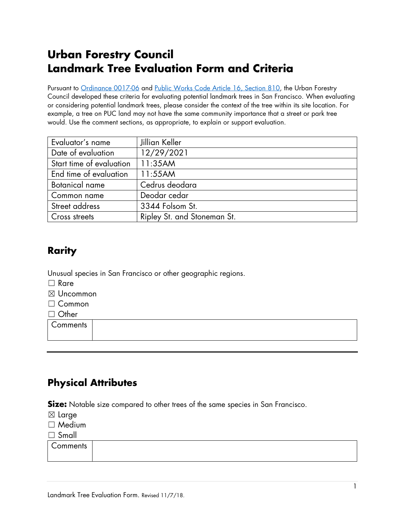# **Urban Forestry Council Landmark Tree Evaluation Form and Criteria**

Pursuant to [Ordinance 0017-06](https://sfbos.org/ftp/uploadedfiles/bdsupvrs/ordinances06/o0017-06.pdf) and [Public Works Code](https://sfenvironment.org/sites/default/files/policy/ufc_landmark_trees_ord.pdf) Article 16, Section 810, the Urban Forestry Council developed these criteria for evaluating potential landmark trees in San Francisco. When evaluating or considering potential landmark trees, please consider the context of the tree within its site location. For example, a tree on PUC land may not have the same community importance that a street or park tree would. Use the comment sections, as appropriate, to explain or support evaluation.

| Evaluator's name         | Jillian Keller              |
|--------------------------|-----------------------------|
| Date of evaluation       | 12/29/2021                  |
| Start time of evaluation | 11:35AM                     |
| End time of evaluation   | 11:55AM                     |
| <b>Botanical name</b>    | Cedrus deodara              |
| Common name              | Deodar cedar                |
| Street address           | 3344 Folsom St.             |
| Cross streets            | Ripley St. and Stoneman St. |

# **Rarity**

Unusual species in San Francisco or other geographic regions.

☐ Rare

☒ Uncommon

☐ Common

☐ Other

**Comments** 

# **Physical Attributes**

**Size:** Notable size compared to other trees of the same species in San Francisco.

☒ Large

☐ Medium

☐ Small

**Comments**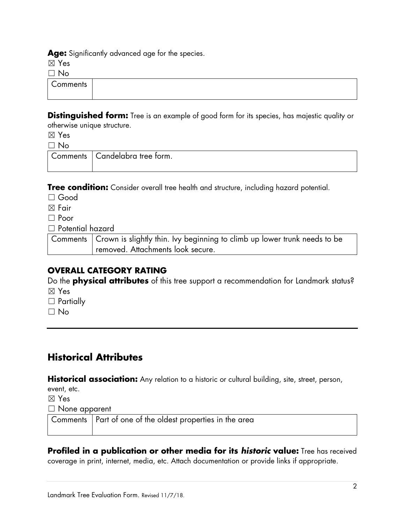**Age:** Significantly advanced age for the species.

☒ Yes

 $\Box$  No

**Comments** 

**Distinguished form:** Tree is an example of good form for its species, has majestic quality or otherwise unique structure.

☒ Yes

 $\Box$  No

Comments | Candelabra tree form.

**Tree condition:** Consider overall tree health and structure, including hazard potential.

☐ Good

☒ Fair

☐ Poor

☐ Potential hazard

Comments Crown is slightly thin. Ivy beginning to climb up lower trunk needs to be removed. Attachments look secure.

#### **OVERALL CATEGORY RATING**

Do the **physical attributes** of this tree support a recommendation for Landmark status? ☒ Yes

- □ Partially
- ☐ No

# **Historical Attributes**

Historical association: Any relation to a historic or cultural building, site, street, person,

event, etc.

☒ Yes

☐ None apparent

Comments Part of one of the oldest properties in the area

**Profiled in a publication or other media for its** *historic* **value:** Tree has received coverage in print, internet, media, etc. Attach documentation or provide links if appropriate.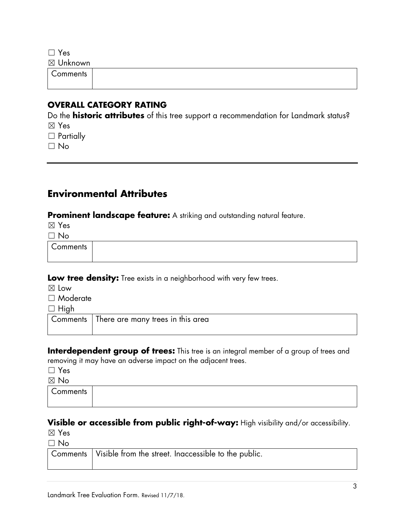☐ Yes

☒ Unknown

**Comments** 

#### **OVERALL CATEGORY RATING**

Do the **historic attributes** of this tree support a recommendation for Landmark status? ☒ Yes

□ Partially

 $\Box$  No

## **Environmental Attributes**

**Prominent landscape feature:** A striking and outstanding natural feature.

☒ Yes

 $\Box$  No

**Comments** 

**Low tree density:** Tree exists in a neighborhood with very few trees.

☒ Low

☐ Moderate

 $\Box$  High

Comments There are many trees in this area

**Interdependent group of trees:** This tree is an integral member of a group of trees and removing it may have an adverse impact on the adjacent trees.

☐ Yes

☒ No

**Comments** 

**Visible or accessible from public right-of-way:** High visibility and/or accessibility.

☒ Yes

 $\Box$  No

| Comments   Visible from the street. Inaccessible to the public. |
|-----------------------------------------------------------------|
|                                                                 |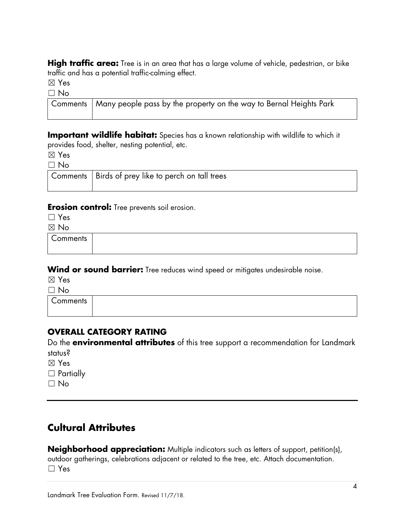**High traffic area:** Tree is in an area that has a large volume of vehicle, pedestrian, or bike traffic and has a potential traffic-calming effect.

☒ Yes

 $\Box$  No

| Comments   Many people pass by the property on the way to Bernal Heights Park |
|-------------------------------------------------------------------------------|

**Important wildlife habitat:** Species has a known relationship with wildlife to which it provides food, shelter, nesting potential, etc.

☒ Yes

☐ No

| Comments   Birds of prey like to perch on tall trees |
|------------------------------------------------------|

#### **Erosion control:** Tree prevents soil erosion.

☐ Yes

☒ No

**Comments** 

**Wind or sound barrier:** Tree reduces wind speed or mitigates undesirable noise.

☒ Yes

 $\Box$  No

**Comments** 

### **OVERALL CATEGORY RATING**

Do the **environmental attributes** of this tree support a recommendation for Landmark status?

☒ Yes

□ Partially

☐ No

# **Cultural Attributes**

**Neighborhood appreciation:** Multiple indicators such as letters of support, petition(s), outdoor gatherings, celebrations adjacent or related to the tree, etc. Attach documentation. ☐ Yes